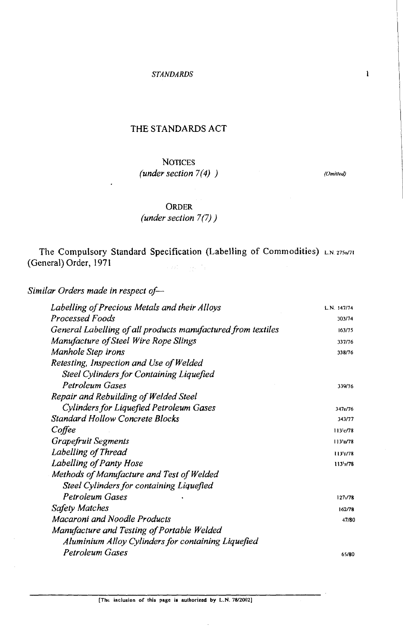### THE STANDARDS ACT

# *NOTICES (under section 7(4)* )

(Omitted)

### ORDER

## *(under section 7(7)* )

The Compulsory Standard Specification (Labelling of Commodities) **LN 275d71**  (General) Order, 197 1  $\sim$  rate  $\sim$   $\sim$   $\mu$  ,  $\sim$ 

Similar Orders made in respect of-

| Labelling of Precious Metals and their Alloys                | L.N. 147/74 |
|--------------------------------------------------------------|-------------|
| Processed Foods                                              | 303/74      |
| General Labelling of all products manufactured from textiles | 163/75      |
| Manufacture of Steel Wire Rope Slings                        | 337/76      |
| Manhole Step irons                                           | 338/76      |
| Retesting, Inspection and Use of Welded                      |             |
| Steel Cylinders for Containing Liquefied                     |             |
| Petroleum Gases                                              | 339/76      |
| Repair and Rebuilding of Welded Steel                        |             |
| Cylinders for Liquefied Petroleum Gases                      | 347r/76     |
| Standard Hollow Concrete Blocks                              | 343/77      |
| Coffee                                                       | 113'c/78    |
| Grapefruit Segments                                          | 113p/78     |
| Labelling of Thread                                          | 113 178     |
| Labelling of Panty Hose                                      | 113y/78     |
| Methods of Manufacture and Test of Welded                    |             |
| Steel Cylinders for containing Liquefied                     |             |
| Petroleum Gases                                              | 127./78     |
| Safety Matches                                               | 162/78      |
| Macaroni and Noodle Products                                 | 47/80       |
| Manufacture and Testing of Portable Welded                   |             |
| Aluminium Alloy Cylinders for containing Liquefied           |             |
| Petroleum Gases                                              | 65/80       |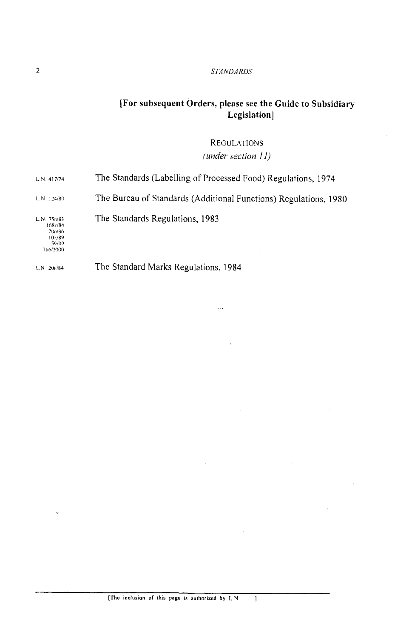#### *STANDARDS*

# **[For subsequent Orders. please see the Guide to Subsidiary Legislation]**

**REGULATIONS** *(under section 11)* 

| $LN$ 20 $H/84$                                                                | The Standard Marks Regulations, 1984                             |
|-------------------------------------------------------------------------------|------------------------------------------------------------------|
| L.N. 75 <sub>10</sub> /83<br>168r/84<br>70o/86<br>10.089<br>59/99<br>116/2000 | The Standards Regulations, 1983                                  |
| L.N. 124/80                                                                   | The Bureau of Standards (Additional Functions) Regulations, 1980 |
| L.N. 417/74                                                                   | The Standards (Labelling of Processed Food) Regulations, 1974    |

 $\sim$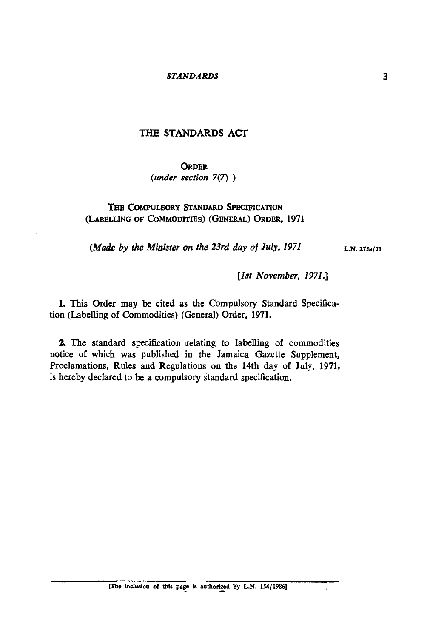#### *STANDARDS*

## THE STANDARDS **ACT**

#### **ORDER**

(under section 7(7) )

## THE COMPULSORY STANDARD SPECIFICATION (LABELLING OF COMMODITIES) (GENERAL) ORDER, 1971

(*Made by the Minister on the 23rd day of July, 1971* **L.N. 2758/71** 

[1st November, 1971.]

1. This Order may be cited as the Compulsory Standard Specification (Labelling of Commodities) (General) Order, **1971.** 

**2 The** standard specification relating to labelling of commodities notice of which was published in the Jamaica Gazette Supplement, Proclamations, Rules and Regulations on the 14th day of July, **1971,**  is hereby declared to be a compulsory standard specification.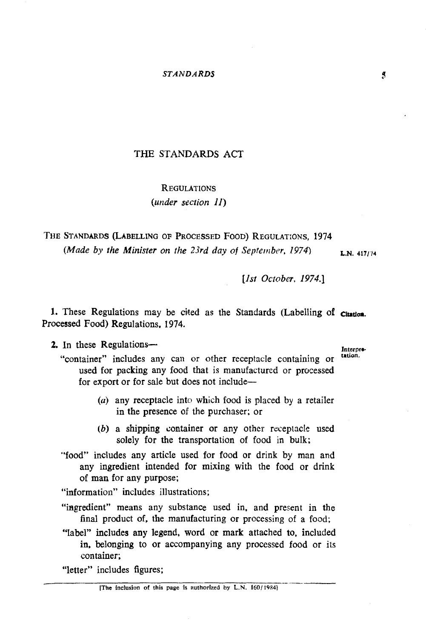## THE STANDARDS ACT

# REGULATIONS *(under section 11)*

THE STANDARDS (LABELLING OF PROCESSED FOOD) REGULAT:ONS, **<sup>1974</sup>** *(Made by the Minister on the 23rd day of September, 1974)* **L.N. 417/14** 

[Is! *October,* 1974.1

1. These Regulations may be cited as the Standards (Labelling of **cleation**. Processed Food) Regulations. **1974.** 

# 2. In these Regulations-

tation.

- "container" includes any can or other receptacle containing or used for packing any food that is manufactured or processed for export or for sale but does not include-
	- **(a)** any receptacle into which food is placed by a retailer in the presence of the purchaser; or
	- *(b)* a shipping container or any other receptacle used solely for the transportation of food in bulk;
- "food" includes any article used for food or drink by man and any ingredient intended for mixing with the food or drink of man for any purpose;
- "information" includes illustrations;
- "ingredient" means any substance used in. and present in the final product of, the manufacturing or processing of a food;
- "label" includes any legend, word or mark attached to. included in, belonging to or accompanying any processed food or its container; from includes illustrations;<br>
ht" means any substance used in, and present in the<br>
product of, the manufacturing or processing of a food;<br>
ncludes any legend, word or mark attached to, included<br>
elonging to or accompanying

"letter" includes figures;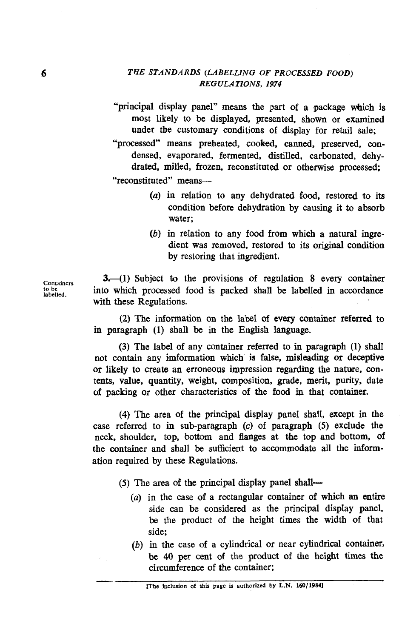"principal display panel" means the part of a package which is most likely to be displayed, presented, shown or examined under the customary conditions of display for retail sale;

"processed" means preheated, cooked, canned, preserved, condensed, evaporated, fermented, distilled, carbonated, dehydrated, milled, frozen, reconstituted or otherwise processed;

"reconstituted" means-

- (a) in relation to any dehydrated food, restored to its condition before dehydration by causing it to absorb water;
- *(b)* in relation to any food from which a natural ingredient was removed, restored to its original condition by restoring that ingredient.

Containers **3.**-(1) Subject to the provisions of regulation 8 every container into which processed food is packed shall be labelled in accordance **labelled.** into which processed food is packed shall be labelled in accordance with these Regulations.

> (2) The information on the label of every container referred to in paragraph *(1)* shall be *in* the English language.

> (3) The label of any container referred to in paragraph *(1)* shall not contain any imformation which is false, misleading or deceptive or likely to create an erroneous impression regarding the natwe, contents, value, quantity, weight, composition, grade, merit, purity, date of packing or other characteristics of the food in that container.

> *(4)* The area of the principal display panel shall, except in the case referred to in sub-paragraph **(c)** of paragraph *(5)* exclude the neck, shoulder, top, bottom and flanges at the top and bottom, of the container and shall be sufficient **b** accommodate all the information required by these Regulations.

- *(5)* The area of the principal display panel shall-
	- (a) in the case of a rectangular container of which an entire side can be considered as the principal display panel, be the product of the height times the width of that side;
- *(b)* in the case of a cylindrical or near cylindrical container, be *40* per cent of the product of the height times the circumference of the container; -<br>-<br>-<br>-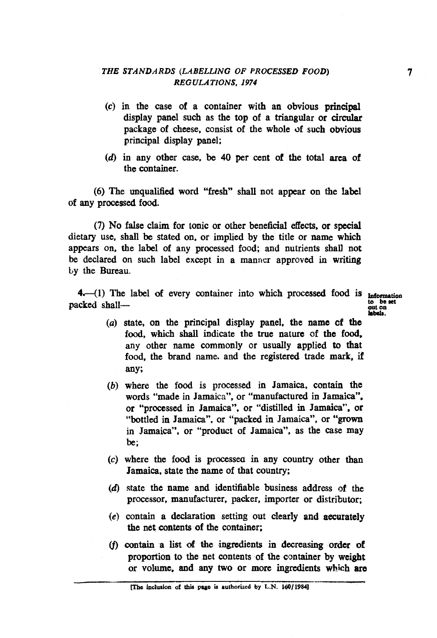## *THE STANDARDS (LABELLING OF PROCESSED FOOD) REGULATIONS, 1974*

- **(c)** in the case of a container with an obvious principal display panel such as the top of a triangular or circular package of cheese. consist of the whole of such obvious principal display panel;
- (6) in any other case. **be** 40 per cent of the total area of the container.

(6) The unqualified word "fresh" shall not appear on the label of any processed food.

(7) No false claim for tonic or other beneficial effects. or special dietary use, shall be stated on. or implied by the title or name which appears on. the label of any processed food; and nutrients shall not be declared on such label except in a manner approved in writing by the Bureau.

4.-(1) The label of every container into which processed food is **Information** packed shall-

**to** be set

- **(a)** state, on the principal display panel, the name cf **the**  food, which shall indicate the true nature of the food. any other name commonly or usually applied to that food, the brand name, and the registered trade mark, if any;
- *(b)* where the food is processed in Jamaica, contain the words "made in Jamaica", or "manufactured in Jamaica". or "processed in Jamaica", or "distilled in Jamaica", or "bottled in Jamaica", or "packed in Jamaica", or "grown in Jamaica", or "product of Jamaica", as the case may be;
- (c) where the food is processes in any country other than Jamaica, state the name of that country;
- **(6)** state the name and identifiable business address **sf** the processor, manufacturer, packer, importer or distributor;
- $(e)$  contain a declaration setting out clearly and accurately the net contents of the container;
- (f) contain a list **d the** ingredients in decreasing order of proportion to the net contents of the container by weight or volume, and any two or more ingredients which are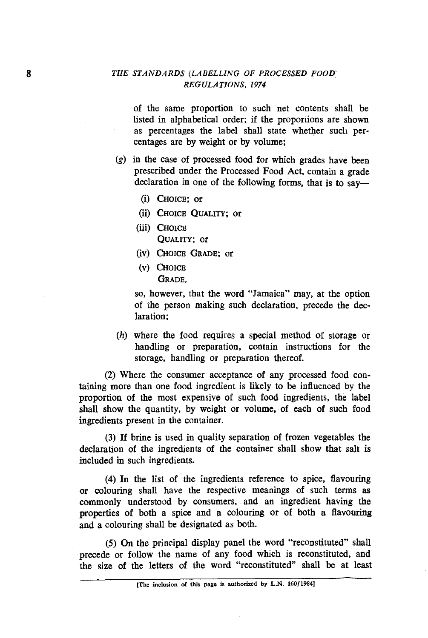### *THE STANDARDS (LABELLING OF PROCESSED FOOD: REGULATIONS,* **I974**

of the same proportion to such net contents shall be listed in alphabetical order; if the proportions are shown as percentages the label shall state whether such percentages are by weight or by volume;

- **(g)** in the case of processed food for which grades have been prescribed under the Processed Food Act, contain a grade declaration in one of the following forms, that is to say—
	- (i) CHOICE: or
	- (ii) CHOICE **QUALITY;** or
	- (iii) CHOICE **QUALITY;** or
	- (iv) CHOICE GRADE; or
	- (v) CHOICE GRADE,

so, however, that the word "Jamaica" may, at the option of the person making such declaration, precede the declaration;

(h) where the food requires a special method of storage or handling or preparation, contain instructions for the storage, handling or preparation thereof.

(2) Where the consumer acceptance of any processed food containing more than one food ingredient is likely to be influenced **by** the proportion of the most expensive of such food ingredients, the label shall show the quantity, by weight or volume, of each of such food ingredients present in the container.

(3) If brine is used in quality separation of frozen vegetables the declaration of the ingredients of the container shall show that salt is included in such ingredients.

(4) In the list of the ingredients reference to spice, flavouring or colouring shall have the respective meanings of such terms as commonly understood by consumers, and an ingredient having the properties of both a spice and a colouring or of both a flavouring and a colouring shall be designated as both.

(5) **On** the principal display panel the word "reconstituted" shall precede or follow the name of any food which is reconstituted, and the size of the letters of the word "reconstituted" shall be at least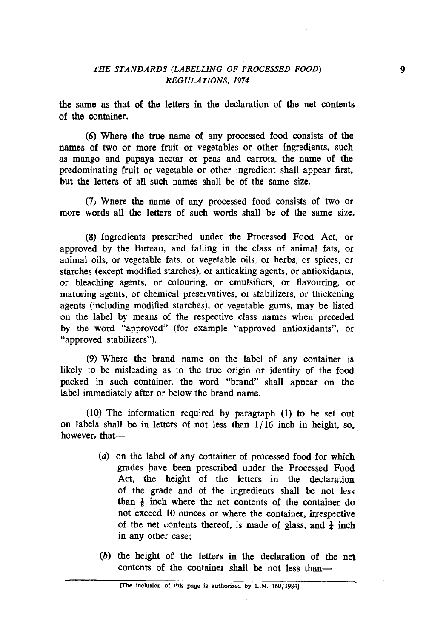the same as that of the letters in the declaration of the net contents of the container.

(6) Where the true name of any processed food consists of the names of two or more fruit or vegetables or other ingredients, such as mango and papaya nectar or peas and carrots, the name of the predominating fruit or vegetable or other ingredient shall appear first, but the letters of all such names shall be of the same size.

**(7)** Wnere the name of any processed food consists of two or more words all the letters of such words shall be of the same size.

(8) Ingredients prescribed under the Processed Food Act, or approved by the Bureau, and falling in the class of animal fats, or animal oils, or vegetable fats, or vegetable oils, or herbs, or spices, or starches (except modified starches), or anticaking agents, or antioxidants, or bleaching agents, or colouring, or emulsifiers, or flavouring, or matwing agents, or chemical preservatives, or stabilizers, or thickening agents (including modified starches), or vegetable gums, may be listed on the label by means of the respective class names when preceded by the word "approved" (for example "approved antioxidants", or "approved stabilizers").

(9) Where the brand name on the label of any container is likely to be misleading as to the true origin or identity of the food packed in such container, the word "brand" shall appear on the label immediately after or below the brand name.

(10) The information required by paragraph (1) to be set out on labels shall be in letters of not less than  $1/16$  inch in height, so, however, that-

- (a) on the label of any container of processed food for which grades have been prescribed under the Processed Food Act, the height of the letters in the declaration of the grade and of the ingredients shall be not less than  $\frac{1}{k}$  inch where the net contents of the container do not exceed 10 ounces or where the container, irrespective of the net contents thereof, is made of glass, and  $\frac{1}{4}$  inch in any other case;
- (b) the height of the letters in the declaration of the net contents of the container shall be not less than-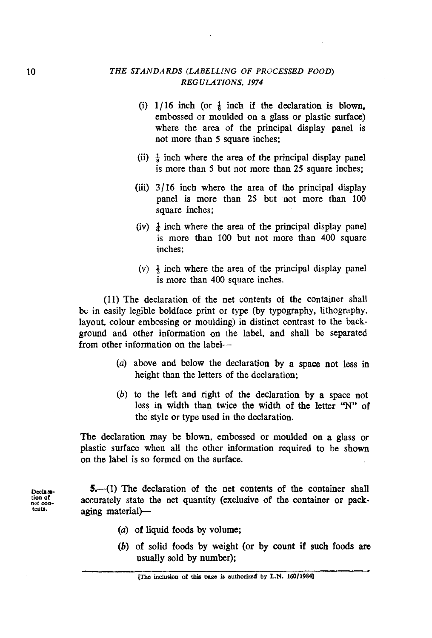### *THE STAhrD,4RDS (LABELLING OF PROCESSED FOOD) REGULATIONS. 1974*

- (i)  $1/16$  inch (or  $\frac{1}{6}$  inch if the declaration is blown, embossed or moulded on a glass or plastic surface) where the area of the principal display panel is not more than 5 square inches:
- (ii) **Q** inch where the area of the principal display panel is more than 5 but not more than 25 square inches;
- (iii) **3/** 16 inch where the area of the principal display panel is more than 25 but not more than 100 square inches;
- (iv)  $\frac{1}{2}$  inch where the area of the principal display panel is more than 100 but not more than 400 square inches;
- (v)  $\frac{1}{2}$  inch where the area of the principal display panel is more than 400 square inches.

(11) The declaration of the net contents of the container shall be in easily legible boldface print or type (by typography, lithography, layout, colour embossing or moulding) in distinct contrast to the background and other information on the label, and shall be separated from other information on the label--

- (a) above and below the declaration by a space not less in height than the letters of the declaration;
- (b) to the left and right of the declaration by a space not less in width than twice the width of the letter "N" of the style or type used in the declaration.

The declaration may be blown, embossed or moulded on a glass or plastic surface when all the other information required to be shown on the label is so formed on the surface.

**Declaration 5.**--(1) The declaration of the net contents of the container shall ion of **production** container as neck. tion of accurately state the net quantity (exclusive of the container or pack-<br>tents. **aging material**)-

- (a) of liquid foods by volume;
- (b) of solid foods by weight (or by count if such foods are usually sold by number);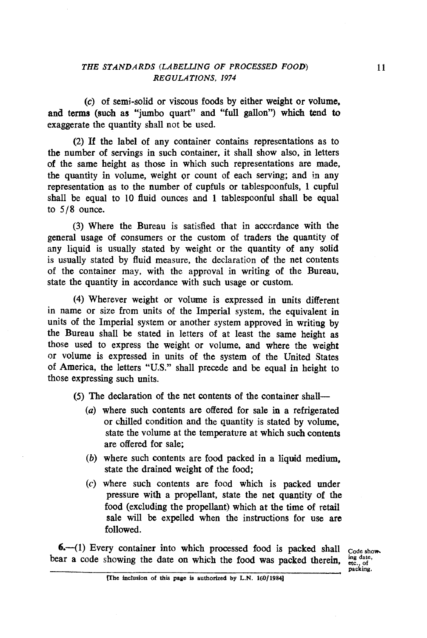(c) of semj-solid or viscous foods by either weight or volume. and terms (such as "jumbo quart" and "full gallon") which tend to exaggerate the quantity shall not be used.

(2) If the label of any container contains representations as to the number of servings in such container, it shall show also, in letters of the same height as those in which such representations are made, the qwantity in volume, weight or count of each serving; and in any representation as to the number of cupfuls or tablespoonfuls, 1 cupful shall be equal to 10 fluid ounces and 1 tablespoonful shall be equal to **518** ounce.

(3) Where the Bureau is satisfied that in acccrdance with the general usage of consumers or the custom of traders the quantity of any liquid is usually stated by weight or the quantity of any solid is usually stated by fluid measure, the declaration of the net contents of the container may, with the approval in writing of the Bureau. state the quantity in accordance with such usage or custom.

(4) Wherever weight or volume is expressed in units different in name or size from units of the Imperial system, the equivalent in units of the Imperial system or another system approved in writing by the Bureau shall be stated in letters of at least the same height as those used to express the weight or volume, and where the weight or volume is expressed in units of the system of the United States of America, the letters "U.S." shall precede and be equal in height to those expressing such units.

(5) The declaration of the net contents of the container shall-

- **(a)** where such contents are offered for sale in a refrigerated or chilled condition and the quantity is stated by volume, state the volume at the temperature at which such contents are offered for sale;
- $(b)$  where such contents are food packed in a liquid medium. state the drained weight of the food;
- (c) where such contents are food which is packed under pressure with a propellant, state the net quantity of the food (excluding the propellant) which at the time of retail sale will be expelled when the instructions for use are followed.

**6.**-41) Every container into which processed food is packed shall code show bear a code showing the date on which the food was packed therein.

**packing.**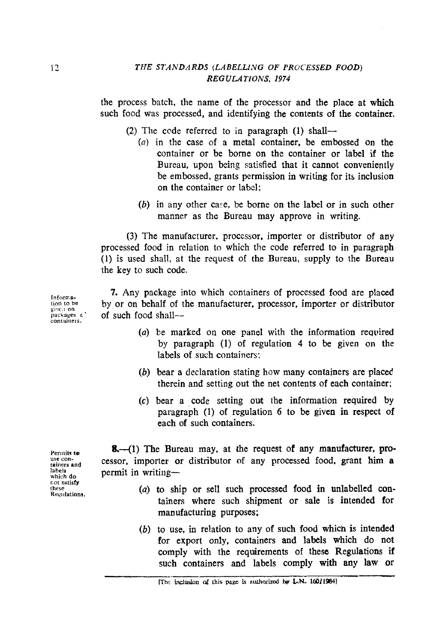#### **THE STANDARDS (LABELLING OF PROCESSED FOOD)** *REGULATIONS, 1974*

the process batch, the name of the processor and the place at which such food was processed, and identifying the contents of the container.

(2) The code referred to in paragraph  $(1)$  shall-

- (a) in the case of a metal container, be embossed on the container or be borne on the container or label if the Bureau, upon being satisfied that it cannot conveniently be embossed, grants permission in writing for its inclusion on the container or label:
- *(b)* in any other case, be borne on the label or in such other manner as the Bureau may approve in writing.

**(3)** The manufacturer, processor, importer or distributor of any processed food in relation to which the code referred to in paragraph (1) is used shall, at the request of the Bureau, supply to the Bureau the key to such code.

7. Any package into which containers of processed food are placed **by** or on behalf of the manufacturer. processor, importer or distributor of such food shall--

- (a) be marked on one panel with the information required by paragraph (1) of regulation 4 to be given on the labels of such containers;
- (b) bear a declaration stating how many containers are placed therein and setting out the net contents of each container;
- (c) bear a code setting out the information required by paragraph (1) of regulation **6** to be given in respect of each of such containers.

8.--(1) The Bureau may, at the request of any manufacturer, processor, importer or distributor of any processed food. grant him a permit in writing-

- (a) to ship or sell such processed food in unlabelled containers where such shipment or sale is intended for manufacturing purposes;
- (b) to use, in relation to any of such food whicn is intended for export only, containers and labels which do not comply with the requirements of these Regulations if such containers and labels comply **with** any law or

**Pernulr to use con- tainers and labels which do**  r,ot **satisfy these Regulations.** 

Inform.a-<br>tion to be  $\frac{1}{2}$ *d*  $\frac{1}{2}$ *b*  $\frac{1}{2}$ *d*  $\frac{1}{2}$ *d*  $\frac{1}{2}$ *d*  $\frac{1}{2}$ *d*  $\frac{1}{2}$ **packages C' contuners.**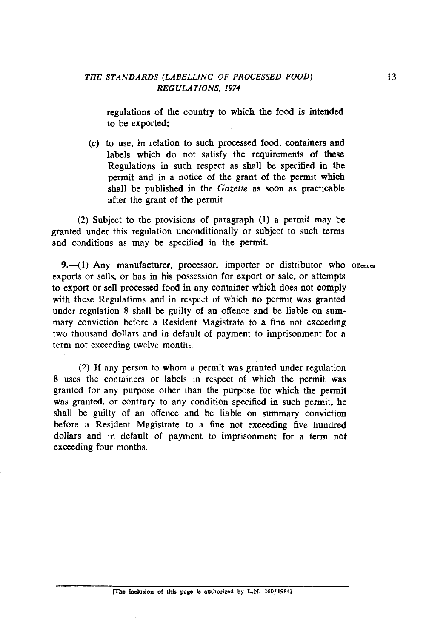regulations of the country to which the food is intended to be exported;

**(c)** to use. in relation to such processed food, containers and labels which do not satisfy the requirements of these Regulations in such respect as shall be specified in the permit and in a notice of the grant of the permit which shall be published in the Gazette as soon as practicable after the grant of the permit.

(2) Subject to the provisions of paragraph (1) a permit may be granted under this regulation unconditionally or subject to such terms and conditions as may be specified in the permit.

9.-41) Any manufacturer, processor, importer or distributor who offences exports or sells, or has in his possession for export or sale, or attempts to export or sell processed food in any container which does not comply with these Regulations and in respect of which no permit was granted under regulation 8 shall be guilty of an offence and be liable on summary conviction before a Resident Magistrate to a fine not exceeding two thousand dollars and in default of payment to imprisonment for a term not exceeding twelvc months.

(2) If any person to whom a permit was granted under regulation 8 uses the containers or labels in respect of which the permit was granted for any purpose other than the purpose for which the permit was granted, or contrary to any condition specified in such permit, he shall be guilty of an offence and be liable on summary conviction before a Resident Magistrate to a fine not exceeding five hundred dollars and in default of payment to imprisonment for a term not exceeding four months.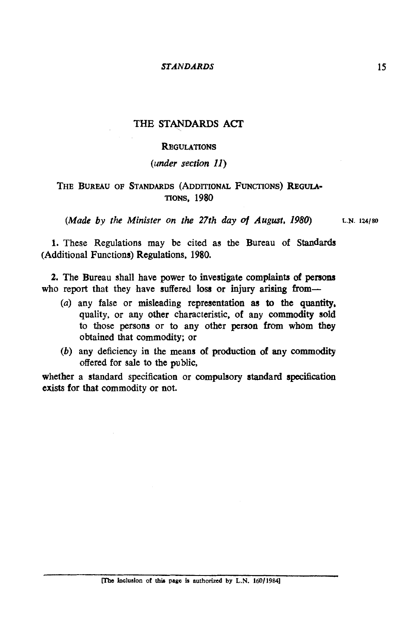#### *STANDARDS*

## **THE STANDARDS ACI'**

#### **REGULATIONS**

## (under section 11)

## THE BUREAU OF STANDARDS (ADDITIONAL FUNCTIONS) REGULA-TIONS, 1980

(Made by the Minister on the 27th day of August, 1980) L.N. 124/80

1. These Regulations may be cited as the Bureau of Standards (Additional Functions) Regulations. 1980.

2. The Bureau shall have power to investigate complaints of **persons**  who report that they have suffered loss or injury arising from-

- (a) any false or misleading representation **as** to the quantity, quality, or any other characteristic. of any commodity sold to those persons or to any other person **from** whom they obtained that commodity; or
- (b) any deficiency in the means of production of any commodity offered for sale to the public,

whether a standard specification or compulsory standard specification exists for that commodity or not.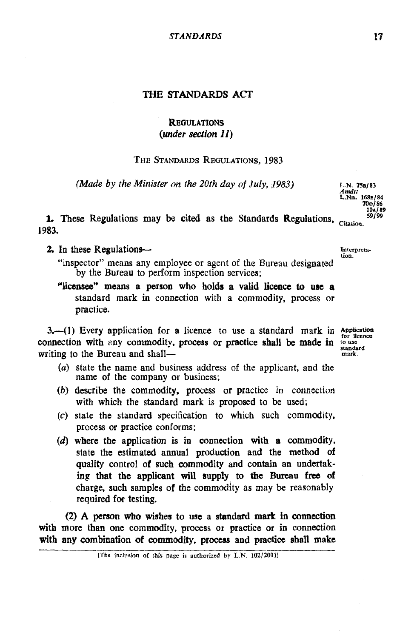#### **THE STANDARDS ACT**

# **REGULATIONS** *(under section 11)*

#### THE STANDARDS REGULATIONS, 1983

 $(Made by the Minister on the 20th day of July, 1983)$  **Figure** *Figure Figure Figure Figure Figure Figure Figure Figure Figure Figure Figure Figure Figure Figure Figure Figure Figure*

1. These Regulations may be cited as the Standards Regulations, Citation. **1983.** 

**2.** In these Regulations-

"inspector" means any employee or agent of the Bureau designated by the Bweau to perform inspection services;

'licensee" **means** a person who holds a valid **licence** to use a standard mark in connection with a commodity, process or practice.

3.-(1) Every application for a licence to use a standard mark in Application connection with any commodity, process or practice shall be made in  $\frac{\text{to use}}{\text{standard}}$ writing to the Bureau and shall-

- (a) state the name and business address of the applicant, and the name of the company or business;
- (b) describe the commodity, process or practice in connection with which the standard mark is proposed to be used;
- **(c)** state the standard specification to which such commodity, process or practice conforms;
- $(d)$  where the application is in connection with a commodity. state the estimated annual production and the method of quality control of such commodity and contain an undertak**ing** that the applicant **will** supply to the Bureau free of charge, such samples of the commodity as may be reasonably required for testing.

(2) A person who wishes to use a standard **mark** in connection with more than one commodity, process or practice or in connection with any combination of commodity, process and practice shall make

**[The inclusion of this page is authorized by L.N. 102/20011** 

*Amdt:*  **LNn. 168a/84 7001 86 10~189**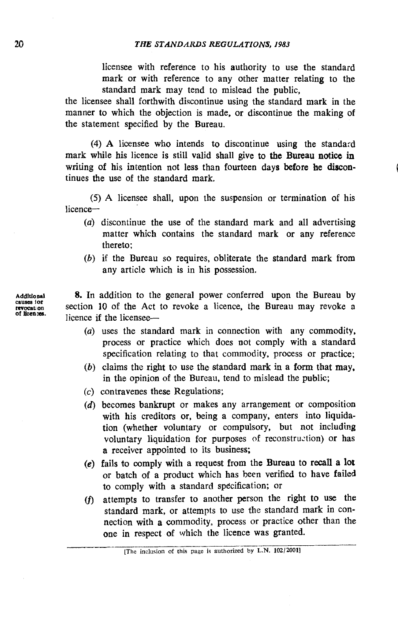licensee with reference to his authority to use the standard mark or with reference to any other matter relating to the standard mark may tend to mislead the public,

the licensee shall forthwith discontinue using the standard mark in the manner to which the objection is made, or discontinue the making of the statement specified by the Bureau.

(4) A licensee who intends to discontinue using the standard mark while his licence is still valid shall give to the Bureau notice in writing of his intention not less than fourteen days before **be** discontinues the use of the standard mark.

(5) A licensee shall, upon the suspension or termination of his licence-

- (a) discontinue the use of the standard mark and all advertising matter which contains the standard mark or any reference thereto;
- (b) if the Bureau so requires, obliterate the standard mark from any article which is in his possession.

Additional 8. In addition to the general power conferred upon the Bureau by causes for<br>revocation section 10 of the Act to revoke a licence, the Bureau may revoke a<br>of the next.<br>licence if the licensee-

- (a) uses the standard mark in connection with any commodity. process or practice which does not comply with a standard specification relating to that commodity, process or practice;
- $(b)$  claims the right to use the standard mark in a form that may. in the opinion of the Bureau, tend to mislead the public;
- (c) contravenes these Regulations;
- *(d)* becomes bankrupt or makes any arrangement or composition with his creditors or, being a company, enters into liquidation (whether voluntary or compulsory, but not including voluntary liquidation for purposes of reconstruction) or has a receiver appointed to its business;
- (e) fails to comply with a request from the Bureau to recall a lot or batch of a product which has been verified to have failed to comply with a standard specification; or
- (f) attempts to transfer to another person the right to use the standard mark, or attempts to use the standard mark in connection with **a** commodity, process or practice other than the one in respect of which the licence was granted. pts to transfer to another person the right to use the ard mark, or attempts to use the standard mark in continuous on with a commodity, process or practice other than the n respect of which the licence was granted.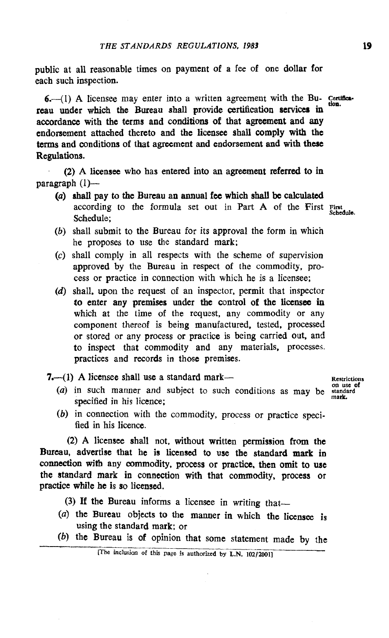public at all reasonable times on payment of a fee of one dollar for each such inspection.

bublic at all reasonable times on payment of a fee of one dollar for<br>
cach such inspection.<br>
6.—(1) A licensee may enter into a written agreement with the Bu- certifica-<br>
reau under which the Bureau shall provide certifica accordance with the terms and conditions of that agreement and any endorsement attached thereto and the licensee shall comply with **the**  terms and conditions of that agreement and endorsement and with these Regulations.

(2) **A** licensee who has entered into an agreement referred to in paragraph  $(1)$ --

- **(a) shall** pay to the Bureau an annual **fee** which shall be calculated according to the formula set out in Part A of the First First Schedule;
- *(b)* shall submit to the Bureau for its approval the form in which he proposes to use the standard mark;
- (c) shall comply in all respects with the scheme of supervision approved by the Bureau in respect of the commodity, process or practice in connection with which he is a licensee;
- (d) shall. upon the request of an inspector, permit that inspector **to** enter any premises under the control of the licensee in which at the time of the request, any commodity or any component thereof is being manufactured, tested. processed or stored or any process or practice is being carried out. and to inspect that commodity and any materials, processes. practices and records in those premises.
- 7.<sup>---(1</sup>) A licensee shall use a standard mark--<br>
on use of
	- (a) in such manner and subject to such conditions as may be standard specified in his licence;
	- (b) in connection with the commodity, process or practice specified in his licence.

(2) A licensee shall not, without written permission **from** the Bureau, advertise that he is licensed to use the standard **mark** in connection with any commodity, process or practice, then omit to use the standard mark in connection with that commodity, process or practice while he is so licensed.

- (3) If the Bureau informs a licensee in writing that-
- *(a)* the Bureau objects to the manner **in** which the licensee is using the standard mark: or
- **(b) the Bureau is of opinion that some statement made by the**  $\frac{1}{(The inclusion of this page is authorized by L.N. 102/2001)}$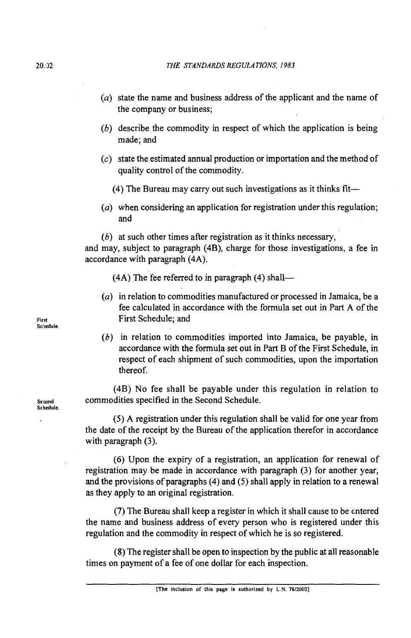- *(a)* state the name and business address of the applicant and the name of the company or business;
- *(6)* describe the commodity in respect of which the application is being made; and
- (c) state the estimated annual production or importation and the method of quality control of the commodity.
	- *(4)* The Bureau may carry out such investigations as it thinks fit-
- (a) when considering an application for registration under this regulation; and
- *(6)* at such other times after registration as it thinks necessary,

and may, subject to paragraph *(4B),* charge for those investigations, a fee in accordance with paragraph *(4A).* 

*(4A)* The fee referred to in paragraph *(4)* shall-

- *(a)* in relation to commodities manufactured or processed in Jamaica, be a fee calculated in accordance with the formula set out in Part *A* of the **First** First Schedule; and
	- *(6)* in relation to commodities imported into Jamaica, be payable, in accordance with the formula set out in Part B of the First Schedule, in respect of each shipment of such commodities, upon the importation thereof.

*(4B)* No fee shall be payable under this regulation in relation to **Se wnd** commodities specified in the Second Schedule.

> *(5) A* registration under this regulation shall be valid for one year from the date of the receipt by the Bureau of the application therefor in accordance with paragraph *(3).*

> *(6)* Upon the expiry of a registration, an application for renewal of registration may be made in accordance with paragraph *(3)* for another year, and the provisions of paragraphs *(4)* and *(5)* shall apply in relation to a renewal as they apply to an original registration.

> **(7)** The Bureau shall keep a register in which it shall cause to be entered the name and business address of every person who is registered under this regulation and the commodity in respect of which he is so registered.

> **(8)** The register shall be open to inspection by the public at all reasonable times on payment of a fee of one dollar for each inspection.

**Scl~edule** 

**Schedule**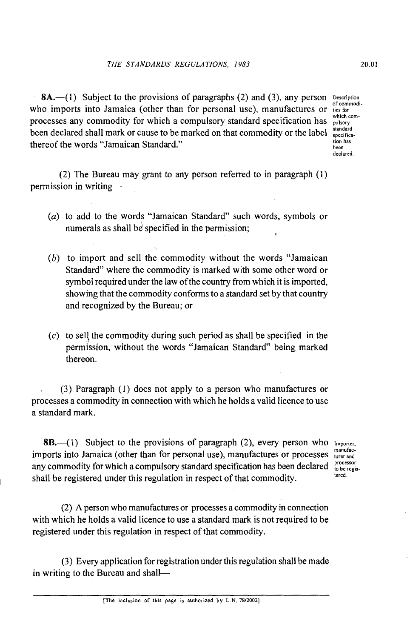8A.-(1) Subject to the provisions of paragraphs (2) and (3), any person **Description** of commodiwho imports into Jamaica (other than for personal use), manufactures or **the for** processes any commodity for which a compulsory standard specification has **property** processes any commodity for which a compulsory standard specification has **property** been declared shall mark or cause to be marked on that commodity or the label  $\frac{\text{standard}}{\text{special}}$ thereof the words "Jamaican Standard." **Lion has** 

**which combeen declared** 

(2) The Bureau may grant to any person referred to in paragraph (1) permission in writing-

- (a) to add to the words "Jamaican Standard" such words, symbols or numerals as shall be specified in the permission;
- *(6)* to import and sell the commodity without the words "Jamaican Standard" where the commodity is marked with some other word or symbol required under the law of the country from which it is imported, showing that the commodity conforms to a standard set by that country and recognized by the Bureau; or
- $(c)$  to sell the commodity during such period as shall be specified in the permission, without the words "Jamaican Standard" being marked thereon.

, (3) Paragraph (1) does not apply to a person who manufactures or processes a commodity in connection with which he holds a valid licence to use a standard mark.

8B. (1) Subject to the provisions of paragraph (2), every person who **Importer.** imports into Jamaica (other than for personal use), manufactures or processes there and any commodity for which a compulsory standard specification has been declared  $_{\text{to}}^{\text{processor}}$ any commodity for which a compulsory standard specification has been declared  $\frac{p_{\text{roce}}}{\text{block}}$ shall be registered under this regulation in respect of that commodity.

(2) **A** person who manufactures or processes a commodity in connection with which he holds a valid licence to use a standard mark is not required to be registered under this regulation in respect of that commodity.

(3) Every application for registration under this regulation shall be made in writing to the Bureau and shall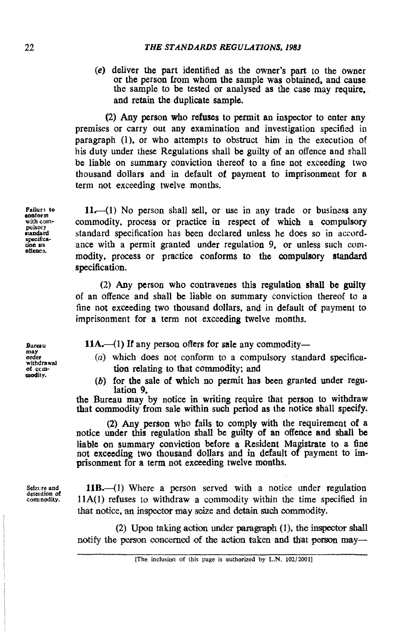**(e)** deliver the part identified as the owner's part to the owner or the person Erom whom the sample was obtained, and cause the sample to be tested or analysed as the case may require. and retain the duplicate sample.

(2) Any person who refuses to permit an inspector to enter any premises or carry out any examination and investigation specified in paragraph (1). or who attempts to obstruct him in the execution of his duty under these Regulations shall be guilty of an offence and shall be liable on summary conviction thereof to a fine not exceeding two thousand dollars and in default of payment to imprisonment for a term not exceeding twelve months.

 $11$ , (1) No person shall sell, or use in any trade or business any commodity. process or practice in respect of which a compulsory standard specification has been declared unless he does so in accordance with a permit granted under regulation 9, or unless such commodity, process or practice conforms to the compulsory **standard**  specification.

(2) Any person who contravenes this regulation **shall** be guilty of an offence and shall be liable on summary conviction thereof ta a fine not exceeding two thousand dollars, and in default of payment to imprisonment for a term not exceeding twelve months.

11A.—(1) If any person offers for sale any commodity—

- (a) which does not conform to a compulsory standard specification relating to that commodity; and
- *(6)* for the sale of which no permit has been granted under regulation 9.

the Bureau may by notice in writing require that person to withdraw that commodity from sale within such period as the notice shall specify.

(2) Any person who fails to comply with the requirement of a notice under this regulation shall be guilty of **an** offence and shall be liable on summary conviction before a Resident Magistrate to a fine not exceeding two thousand dollars and in default of payment to imprisonment for a term not exceeding twelve months.

**Sciztre and dctation of commodity.** 

11B.—(1) Where a person served with a notice under regulation 11A(1) refuses to withdraw a commodity within the time specified in that notice, an inspector may seize and detain such commodity. 11B.--(1)  $\frac{11A(1)}{11A(1)}$  refuse<br>that notice, as<br>(2)<br>notify the per

 $(2)$  Upon taking action under paragraph  $(1)$ , the inspector shall notify the person concerned of the action taken and that person may-

**Burcr u may order withdrawal of ccm- modil y.** 

**<sup>[</sup>The inclusion of this page is authorized by L.N. 102/2001]**